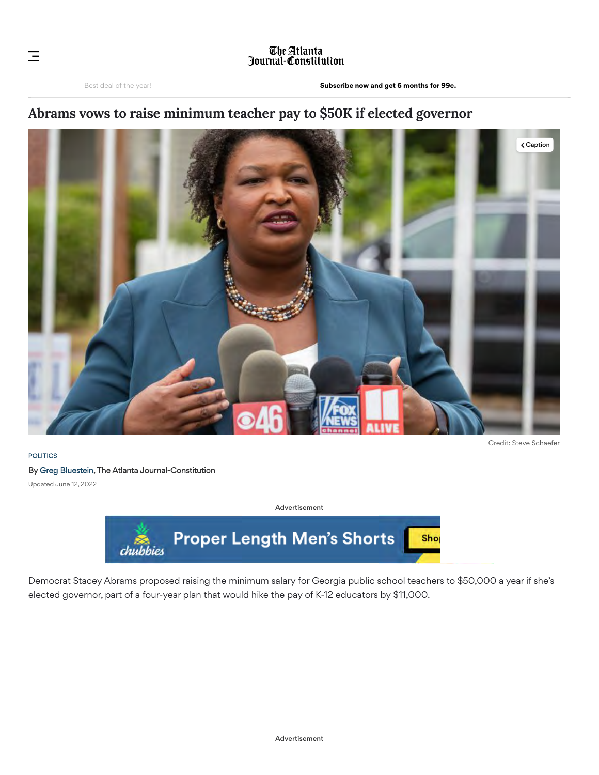# The Atlanta<br>Journal-Constitution

## **Abrams vows to raise minimum teacher pay to \$50K if elected governor**



[POLITICS](https://www.ajc.com/politics/)

Credit: Steve Schaefer

By [Greg Bluestein,](https://www.ajc.com/staff/greg-bluestein/) The Atlanta Journal-Constitution

Updated June 12, 2022

Advertisement



Democrat Stacey Abrams proposed raising the minimum salary for Georgia public school teachers to \$50,000 a year if she's elected governor, part of a four-year plan that would hike the pay of K-12 educators by \$11,000.

Ξ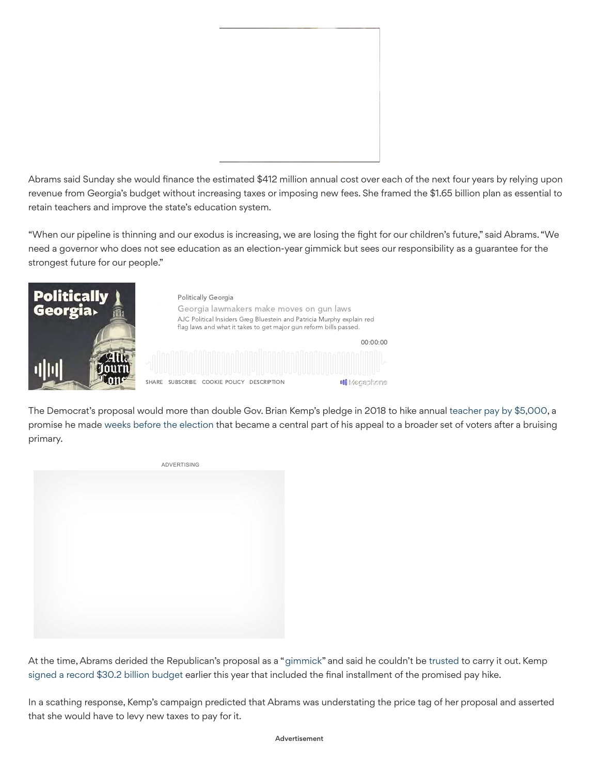

Abrams said Sunday she would finance the estimated \$412 million annual cost over each of the next four years by relying upon revenue from Georgia's budget without increasing taxes or imposing new fees. She framed the \$1.65 billion plan as essential to retain teachers and improve the state's education system.

"When our pipeline is thinning and our exodus is increasing, we are losing the fight for our children's future," said Abrams. "We need a governor who does not see education as an election-year gimmick but sees our responsibility as a guarantee for the strongest future for our people."



The Democrat's proposal would more than double Gov. Brian Kemp's pledge in 2018 to hike annual [teacher pay by \\$5,000](https://www.ajc.com/politics/kemp-signs-upcoming-years-budget-with-teacher-pay-raises/4U3Y2I7CWVDQDC4GOO4MLAWY4U/), a promise he made [weeks before the election](https://www.ajc.com/news/state--regional-govt--politics/kemp-proposes-600m-annual-plan-boost-teacher-pay/FBlJTyBsIxt0rWEOAJuykK/) that became a central part of his appeal to a broader set of voters after a bruising primary.



At the time, Abrams derided the Republican's proposal as a "[gimmick"](https://www.ajc.com/news/state--regional-education/abrams-has-expansive-and-expensive-education-plan/imsIgeP9uROKzn9Btowe3K/) and said he couldn't be [trusted](https://www.ajc.com/blog/politics/abrams-kemp-pay-hike-plan-cannot-trusted-keep-his-promises/ErctPb5iSuHI24Eqq5i2yH/) to carry it out. Kemp [signed a record \\$30.2 billion budget e](https://www.ajc.com/politics/kemp-signs-upcoming-years-budget-with-teacher-pay-raises/4U3Y2I7CWVDQDC4GOO4MLAWY4U/)arlier this year that included the final installment of the promised pay hike.

In a scathing response, Kemp's campaign predicted that Abrams was understating the price tag of her proposal and asserted that she would have to levy new taxes to pay for it.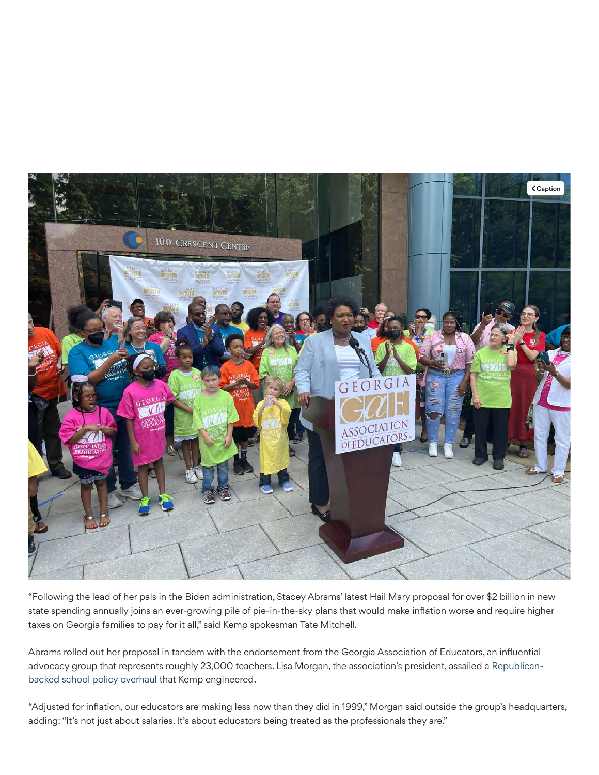

"Following the lead of her pals in the Biden administration, Stacey Abrams' latest Hail Mary proposal for over \$2 billion in new state spending annually joins an ever-growing pile of pie-in-the-sky plans that would make inflation worse and require higher taxes on Georgia families to pay for it all," said Kemp spokesman Tate Mitchell.

Abrams rolled out her proposal in tandem with the endorsement from the Georgia Association of Educators, an influential [advocacy group that represents roughly 23,000 teachers. Lisa Morgan, the association's president, assailed a Republican](https://www.ajc.com/politics/kemps-education-policy-designed-to-rev-up-gop-voters/EDBYUFLV2VDPBAGY47F3GRJLWI/)backed school policy overhaul that Kemp engineered.

"Adjusted for inflation, our educators are making less now than they did in 1999," Morgan said outside the group's headquarters, adding: "It's not just about salaries. It's about educators being treated as the professionals they are."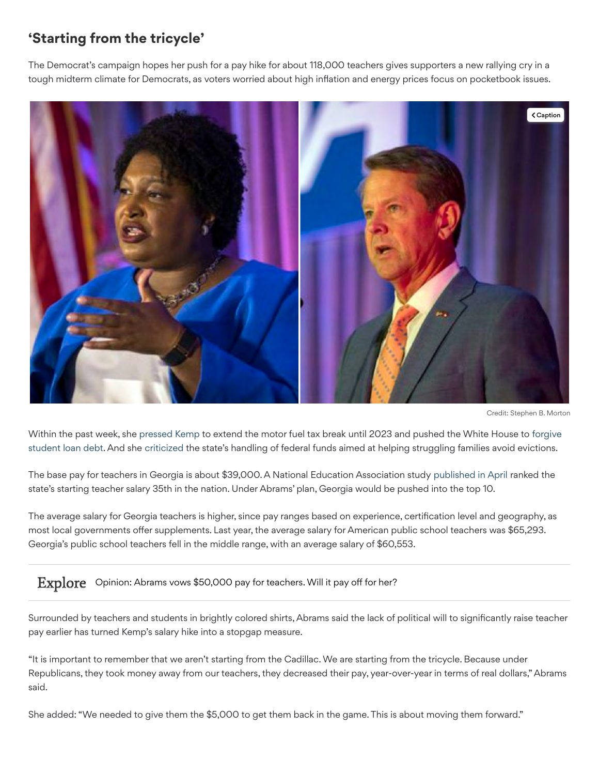### **'Starting from the tricycle'**

The Democrat's campaign hopes her push for a pay hike for about 118,000 teachers gives supporters a new rallying cry in a tough midterm climate for Democrats, as voters worried about high inflation and energy prices focus on pocketbook issues.



Credit: Stephen B. Morton

[Within the past week, she p](https://www.ajc.com/politics/politics-blog/why-top-georgia-democrats-are-pushing-biden-to-forgive-student-debt/C5JGKNNZA5AMPLOWJBWTZHVCZY/)[ressed Kemp](https://www.ajc.com/politics/politics-blog/abrams-pushes-kemp-to-suspend-state-gas-tax-through-end-of-2022/NCTSRB6BNRG7VPOGYGR3JSN23Q/) [to extend the motor fuel tax break until 2023 and pushed the White House to forgive](https://www.ajc.com/politics/politics-blog/why-top-georgia-democrats-are-pushing-biden-to-forgive-student-debt/C5JGKNNZA5AMPLOWJBWTZHVCZY/) student loan debt. And she [criticized](https://twitter.com/staceyabrams/status/1535359496490475522) the state's handling of federal funds aimed at helping struggling families avoid evictions.

The base pay for teachers in Georgia is about \$39,000. A National Education Association study [published in April](https://www.nea.org/resource-library/teacher-salary-benchmarks) ranked the state's starting teacher salary 35th in the nation. Under Abrams' plan, Georgia would be pushed into the top 10.

The average salary for Georgia teachers is higher, since pay ranges based on experience, certification level and geography, as most local governments offer supplements. Last year, the average salary for American public school teachers was \$65,293. Georgia's public school teachers fell in the middle range, with an average salary of \$60,553.

#### Explore [Opinion: Abrams vows \\$50,000 pay for teachers. Will it pay off for her?](https://www.ajc.com/education/get-schooled-blog/opinion-abrams-vows-50000-pay-for-teachers-will-it-pay-off-for-her/Y53FEVM3UZHETFYNR67WTH6Z5U/)

Surrounded by teachers and students in brightly colored shirts, Abrams said the lack of political will to significantly raise teacher pay earlier has turned Kemp's salary hike into a stopgap measure.

"It is important to remember that we aren't starting from the Cadillac. We are starting from the tricycle. Because under Republicans, they took money away from our teachers, they decreased their pay, year-over-year in terms of real dollars," Abrams said.

She added: "We needed to give them the \$5,000 to get them back in the game. This is about moving them forward."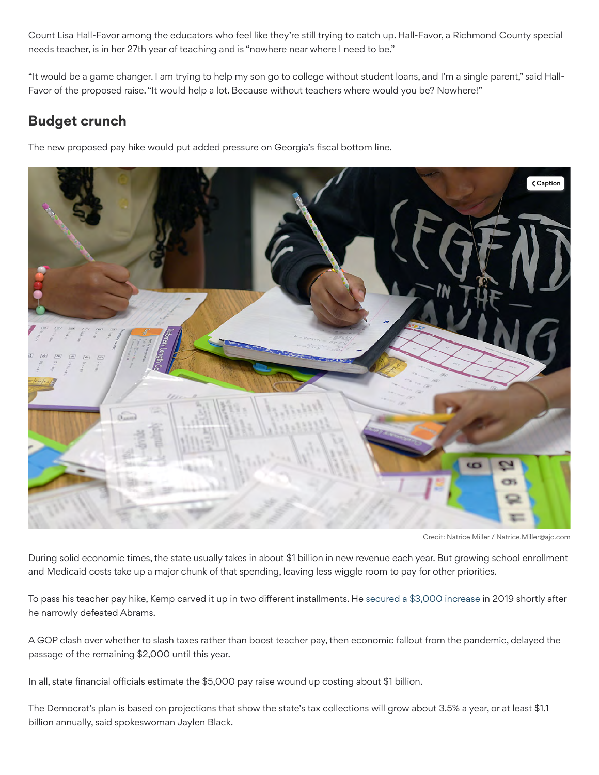Count Lisa Hall-Favor among the educators who feel like they're still trying to catch up. Hall-Favor, a Richmond County special needs teacher, is in her 27th year of teaching and is "nowhere near where I need to be."

"It would be a game changer. I am trying to help my son go to college without student loans, and I'm a single parent," said Hall-Favor of the proposed raise. "It would help a lot. Because without teachers where would you be? Nowhere!"

# **Budget crunch**

The new proposed pay hike would put added pressure on Georgia's fiscal bottom line.



Credit: Natrice Miller / Natrice.Miller@ajc.com

During solid economic times, the state usually takes in about \$1 billion in new revenue each year. But growing school enrollment and Medicaid costs take up a major chunk of that spending, leaving less wiggle room to pay for other priorities.

To pass his teacher pay hike, Kemp carved it up in two different installments. He [secured a \\$3,000 increase](https://www.ajc.com/news/state--regional-govt--politics/gov-kemp-sign-budget-today-with-000-raises-for-georgia-teachers/j8p5RiglIlVia18txuuNJP/) in 2019 shortly after he narrowly defeated Abrams.

A GOP clash over whether to slash taxes rather than boost teacher pay, then economic fallout from the pandemic, delayed the passage of the remaining \$2,000 until this year.

In all, state financial officials estimate the \$5,000 pay raise wound up costing about \$1 billion.

The Democrat's plan is based on projections that show the state's tax collections will grow about 3.5% a year, or at least \$1.1 billion annually, said spokeswoman Jaylen Black.